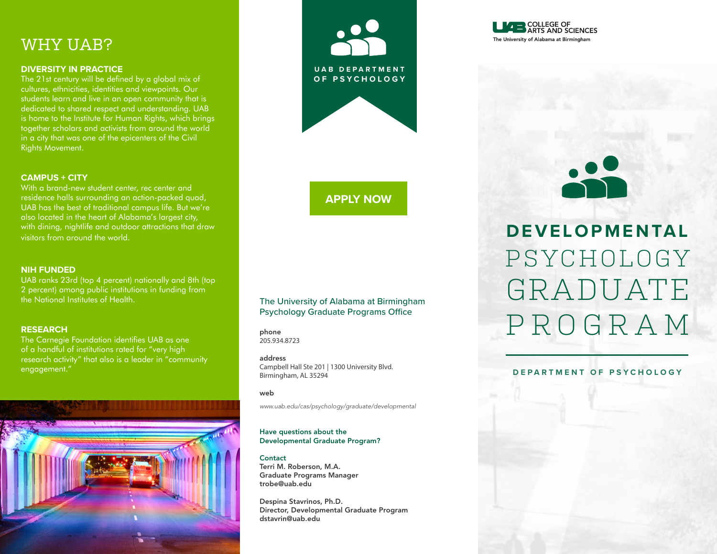# WHY UAB?

#### **DIVERSITY IN PRACTICE**

The 21st century will be defined by a global mix of cultures, ethnicities, identities and viewpoints. Our students learn and live in an open community that is dedicated to shared respect and understanding. UAB is home to the Institute for Human Rights, which brings together scholars and activists from around the world in a city that was one of the epicenters of the Civil Rights Movement.

#### **CAMPUS + CITY**

With a brand-new student center, rec center and residence halls surrounding an action-packed quad, UAB has the best of traditional campus life. But we're also located in the heart of Alabama's largest city, with dining, nightlife and outdoor attractions that draw visitors from around the world.

#### **NIH FUNDED**

UAB ranks 23rd (top 4 percent) nationally and 8th (top 2 percent) among public institutions in funding from the National Institutes of Health.

#### **RESEARCH**

The Carnegie Foundation identifies UAB as one of a handful of institutions rated for "very high research activity" that also is a leader in "community engagement."





### **[APPLY NOW](https://uabirmingham.force.com/graduate/TX_SiteLogin?startURL=&_ga=2.41424738.1732402290.1593191921-818297500.1469490253)**

#### The University of Alabama at Birmingham Psychology Graduate Programs Office

phone 205.934.8723

#### address

Campbell Hall Ste 201 | 1300 University Blvd. Birmingham, AL 35294

#### web

*[www.uab.edu/cas/psychology/graduate/developmental](https://www.uab.edu/cas/psychology/graduate/developmental)*

#### Have questions about the Developmental Graduate Program?

**Contact** Terri M. Roberson, M.A. Graduate Programs Manager trobe@uab.edu

Despina Stavrinos, Ph.D. Director, Developmental Graduate Program dstavrin@uab.edu



# PSYCHOLOGY GRADUATE PROGRAM **DEVELOPMENTAL**

#### **DEPARTMENT OF PSYCHOLOGY**